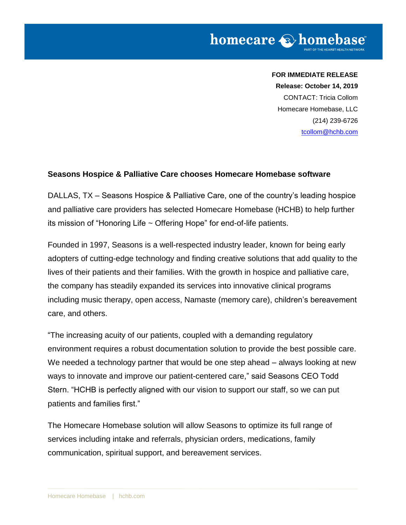### **FOR IMMEDIATE RELEASE**

**Release: October 14, 2019**

CONTACT: Tricia Collom Homecare Homebase, LLC (214) 239-6726 [tcollom@hchb.com](mailto:tcollom@hchb.com)

### **Seasons Hospice & Palliative Care chooses Homecare Homebase software**

DALLAS, TX – Seasons Hospice & Palliative Care, one of the country's leading hospice and palliative care providers has selected Homecare Homebase (HCHB) to help further its mission of "Honoring Life ~ Offering Hope" for end-of-life patients.

Founded in 1997, Seasons is a well-respected industry leader, known for being early adopters of cutting-edge technology and finding creative solutions that add quality to the lives of their patients and their families. With the growth in hospice and palliative care, the company has steadily expanded its services into innovative clinical programs including music therapy, open access, Namaste (memory care), children's bereavement care, and others.

"The increasing acuity of our patients, coupled with a demanding regulatory environment requires a robust documentation solution to provide the best possible care. We needed a technology partner that would be one step ahead – always looking at new ways to innovate and improve our patient-centered care," said Seasons CEO Todd Stern. "HCHB is perfectly aligned with our vision to support our staff, so we can put patients and families first."

The Homecare Homebase solution will allow Seasons to optimize its full range of services including intake and referrals, physician orders, medications, family communication, spiritual support, and bereavement services.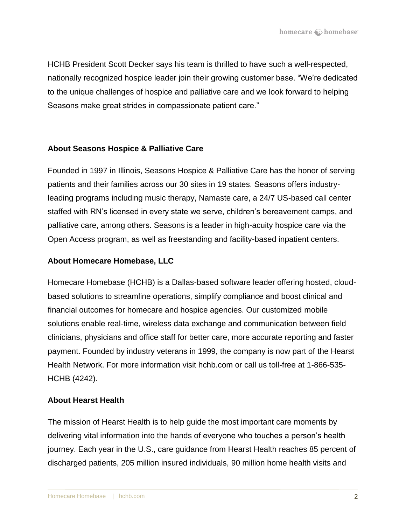HCHB President Scott Decker says his team is thrilled to have such a well-respected, nationally recognized hospice leader join their growing customer base. "We're dedicated to the unique challenges of hospice and palliative care and we look forward to helping Seasons make great strides in compassionate patient care."

# **About Seasons Hospice & Palliative Care**

Founded in 1997 in Illinois, Seasons Hospice & Palliative Care has the honor of serving patients and their families across our 30 sites in 19 states. Seasons offers industryleading programs including music therapy, Namaste care, a 24/7 US-based call center staffed with RN's licensed in every state we serve, children's bereavement camps, and palliative care, among others. Seasons is a leader in high-acuity hospice care via the Open Access program, as well as freestanding and facility-based inpatient centers.

# **About Homecare Homebase, LLC**

Homecare Homebase (HCHB) is a Dallas-based software leader offering hosted, cloudbased solutions to streamline operations, simplify compliance and boost clinical and financial outcomes for homecare and hospice agencies. Our customized mobile solutions enable real-time, wireless data exchange and communication between field clinicians, physicians and office staff for better care, more accurate reporting and faster payment. Founded by industry veterans in 1999, the company is now part of the Hearst Health Network. For more information visit hchb.com or call us toll-free at 1-866-535- HCHB (4242).

# **About Hearst Health**

The mission of Hearst Health is to help guide the most important care moments by delivering vital information into the hands of everyone who touches a person's health journey. Each year in the U.S., care guidance from Hearst Health reaches 85 percent of discharged patients, 205 million insured individuals, 90 million home health visits and